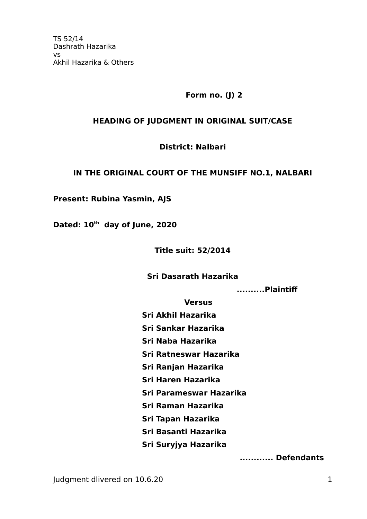**Form no. (J) 2**

#### **HEADING OF JUDGMENT IN ORIGINAL SUIT/CASE**

#### **District: Nalbari**

#### **IN THE ORIGINAL COURT OF THE MUNSIFF NO.1, NALBARI**

**Present: Rubina Yasmin, AJS**

**Dated: 10th day of June, 2020** 

**Title suit: 52/2014**

#### **Sri Dasarath Hazarika**

 **..........Plaintif**

**Versus**

- **Sri Akhil Hazarika**
- **Sri Sankar Hazarika**
- **Sri Naba Hazarika**
- **Sri Ratneswar Hazarika**
- **Sri Ranjan Hazarika**
- **Sri Haren Hazarika**
- **Sri Parameswar Hazarika**
- **Sri Raman Hazarika**
- **Sri Tapan Hazarika**
- **Sri Basanti Hazarika**
- **Sri Suryjya Hazarika**

 **............ Defendants**

Judgment dlivered on 10.6.20 1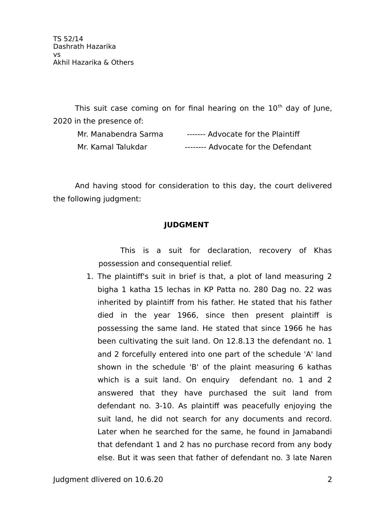This suit case coming on for final hearing on the  $10<sup>th</sup>$  day of June, 2020 in the presence of:

| Mr. Manabendra Sarma | ------- Advocate for the Plaintiff  |
|----------------------|-------------------------------------|
| Mr. Kamal Talukdar   | -------- Advocate for the Defendant |

And having stood for consideration to this day, the court delivered the following judgment:

# **JUDGMENT**

This is a suit for declaration, recovery of Khas possession and consequential relief.

1. The plaintif's suit in brief is that, a plot of land measuring 2 bigha 1 katha 15 lechas in KP Patta no. 280 Dag no. 22 was inherited by plaintiff from his father. He stated that his father died in the year 1966, since then present plaintif is possessing the same land. He stated that since 1966 he has been cultivating the suit land. On 12.8.13 the defendant no. 1 and 2 forcefully entered into one part of the schedule 'A' land shown in the schedule 'B' of the plaint measuring 6 kathas which is a suit land. On enquiry defendant no. 1 and 2 answered that they have purchased the suit land from defendant no. 3-10. As plaintif was peacefully enjoying the suit land, he did not search for any documents and record. Later when he searched for the same, he found in Jamabandi that defendant 1 and 2 has no purchase record from any body else. But it was seen that father of defendant no. 3 late Naren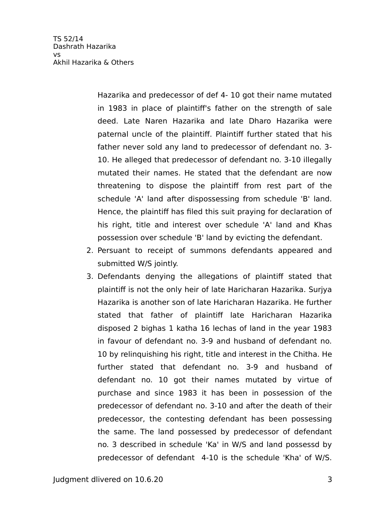Hazarika and predecessor of def 4- 10 got their name mutated in 1983 in place of plaintif's father on the strength of sale deed. Late Naren Hazarika and late Dharo Hazarika were paternal uncle of the plaintiff. Plaintiff further stated that his father never sold any land to predecessor of defendant no. 3- 10. He alleged that predecessor of defendant no. 3-10 illegally mutated their names. He stated that the defendant are now threatening to dispose the plaintif from rest part of the schedule 'A' land after dispossessing from schedule 'B' land. Hence, the plaintiff has filed this suit praying for declaration of his right, title and interest over schedule 'A' land and Khas possession over schedule 'B' land by evicting the defendant.

- 2. Persuant to receipt of summons defendants appeared and submitted W/S jointly.
- 3. Defendants denying the allegations of plaintif stated that plaintif is not the only heir of late Haricharan Hazarika. Surjya Hazarika is another son of late Haricharan Hazarika. He further stated that father of plaintif late Haricharan Hazarika disposed 2 bighas 1 katha 16 lechas of land in the year 1983 in favour of defendant no. 3-9 and husband of defendant no. 10 by relinquishing his right, title and interest in the Chitha. He further stated that defendant no. 3-9 and husband of defendant no. 10 got their names mutated by virtue of purchase and since 1983 it has been in possession of the predecessor of defendant no. 3-10 and after the death of their predecessor, the contesting defendant has been possessing the same. The land possessed by predecessor of defendant no. 3 described in schedule 'Ka' in W/S and land possessd by predecessor of defendant 4-10 is the schedule 'Kha' of W/S.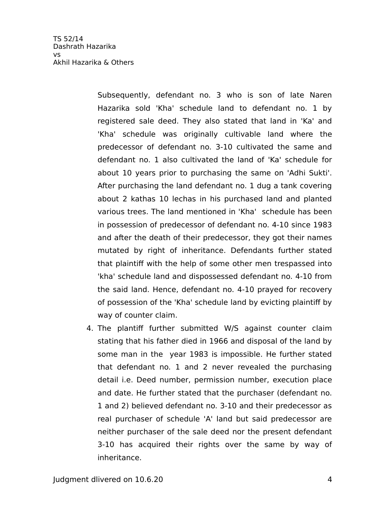> Subsequently, defendant no. 3 who is son of late Naren Hazarika sold 'Kha' schedule land to defendant no. 1 by registered sale deed. They also stated that land in 'Ka' and 'Kha' schedule was originally cultivable land where the predecessor of defendant no. 3-10 cultivated the same and defendant no. 1 also cultivated the land of 'Ka' schedule for about 10 years prior to purchasing the same on 'Adhi Sukti'. After purchasing the land defendant no. 1 dug a tank covering about 2 kathas 10 lechas in his purchased land and planted various trees. The land mentioned in 'Kha' schedule has been in possession of predecessor of defendant no. 4-10 since 1983 and after the death of their predecessor, they got their names mutated by right of inheritance. Defendants further stated that plaintif with the help of some other men trespassed into 'kha' schedule land and dispossessed defendant no. 4-10 from the said land. Hence, defendant no. 4-10 prayed for recovery of possession of the 'Kha' schedule land by evicting plaintif by way of counter claim.

4. The plantif further submitted W/S against counter claim stating that his father died in 1966 and disposal of the land by some man in the year 1983 is impossible. He further stated that defendant no. 1 and 2 never revealed the purchasing detail i.e. Deed number, permission number, execution place and date. He further stated that the purchaser (defendant no. 1 and 2) believed defendant no. 3-10 and their predecessor as real purchaser of schedule 'A' land but said predecessor are neither purchaser of the sale deed nor the present defendant 3-10 has acquired their rights over the same by way of inheritance.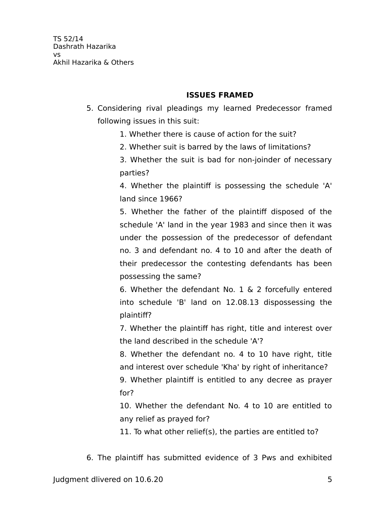### **ISSUES FRAMED**

- 5. Considering rival pleadings my learned Predecessor framed following issues in this suit:
	- 1. Whether there is cause of action for the suit?
	- 2. Whether suit is barred by the laws of limitations?

3. Whether the suit is bad for non-joinder of necessary parties?

4. Whether the plaintiff is possessing the schedule 'A' land since 1966?

5. Whether the father of the plaintif disposed of the schedule 'A' land in the year 1983 and since then it was under the possession of the predecessor of defendant no. 3 and defendant no. 4 to 10 and after the death of their predecessor the contesting defendants has been possessing the same?

6. Whether the defendant No. 1 & 2 forcefully entered into schedule 'B' land on 12.08.13 dispossessing the plaintif?

7. Whether the plaintif has right, title and interest over the land described in the schedule 'A'?

8. Whether the defendant no. 4 to 10 have right, title and interest over schedule 'Kha' by right of inheritance?

9. Whether plaintif is entitled to any decree as prayer for?

10. Whether the defendant No. 4 to 10 are entitled to any relief as prayed for?

11. To what other relief(s), the parties are entitled to?

6. The plaintif has submitted evidence of 3 Pws and exhibited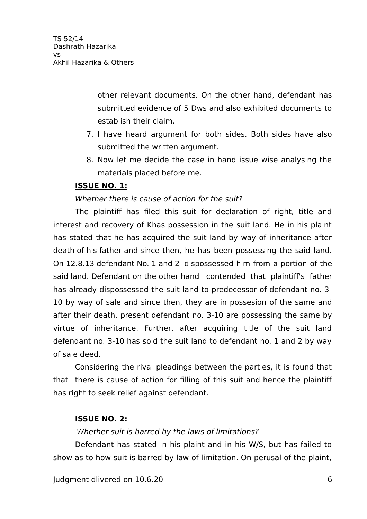other relevant documents. On the other hand, defendant has submitted evidence of 5 Dws and also exhibited documents to establish their claim.

- 7. I have heard argument for both sides. Both sides have also submitted the written argument.
- 8. Now let me decide the case in hand issue wise analysing the materials placed before me.

## **ISSUE NO. 1:**

### Whether there is cause of action for the suit?

The plaintiff has filed this suit for declaration of right, title and interest and recovery of Khas possession in the suit land. He in his plaint has stated that he has acquired the suit land by way of inheritance after death of his father and since then, he has been possessing the said land. On 12.8.13 defendant No. 1 and 2 dispossessed him from a portion of the said land. Defendant on the other hand contended that plaintif's father has already dispossessed the suit land to predecessor of defendant no. 3- 10 by way of sale and since then, they are in possesion of the same and after their death, present defendant no. 3-10 are possessing the same by virtue of inheritance. Further, after acquiring title of the suit land defendant no. 3-10 has sold the suit land to defendant no. 1 and 2 by way of sale deed.

Considering the rival pleadings between the parties, it is found that that there is cause of action for filling of this suit and hence the plaintif has right to seek relief against defendant.

## **ISSUE NO. 2:**

### Whether suit is barred by the laws of limitations?

Defendant has stated in his plaint and in his W/S, but has failed to show as to how suit is barred by law of limitation. On perusal of the plaint,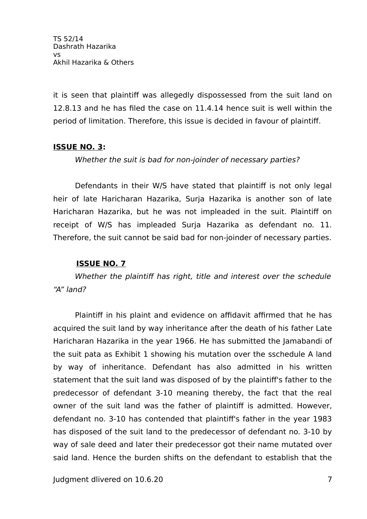it is seen that plaintiff was allegedly dispossessed from the suit land on 12.8.13 and he has filed the case on 11.4.14 hence suit is well within the period of limitation. Therefore, this issue is decided in favour of plaintif.

### **ISSUE NO. 3:**

Whether the suit is bad for non-joinder of necessary parties?

Defendants in their W/S have stated that plaintiff is not only legal heir of late Haricharan Hazarika, Surja Hazarika is another son of late Haricharan Hazarika, but he was not impleaded in the suit. Plaintif on receipt of W/S has impleaded Surja Hazarika as defendant no. 11. Therefore, the suit cannot be said bad for non-joinder of necessary parties.

### **ISSUE NO. 7**

Whether the plaintiff has right, title and interest over the schedule "A" land?

Plaintif in his plaint and evidence on affidavit affirmed that he has acquired the suit land by way inheritance after the death of his father Late Haricharan Hazarika in the year 1966. He has submitted the Jamabandi of the suit pata as Exhibit 1 showing his mutation over the sschedule A land by way of inheritance. Defendant has also admitted in his written statement that the suit land was disposed of by the plaintif's father to the predecessor of defendant 3-10 meaning thereby, the fact that the real owner of the suit land was the father of plaintif is admitted. However, defendant no. 3-10 has contended that plaintif's father in the year 1983 has disposed of the suit land to the predecessor of defendant no. 3-10 by way of sale deed and later their predecessor got their name mutated over said land. Hence the burden shifts on the defendant to establish that the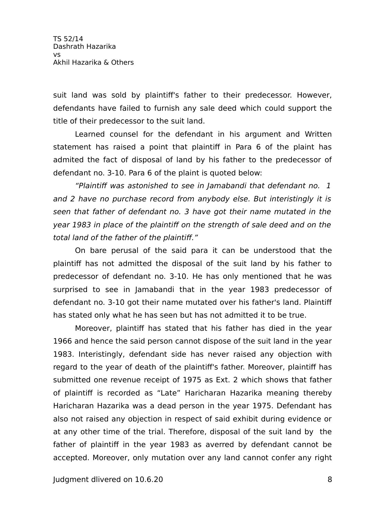suit land was sold by plaintif's father to their predecessor. However, defendants have failed to furnish any sale deed which could support the title of their predecessor to the suit land.

Learned counsel for the defendant in his argument and Written statement has raised a point that plaintif in Para 6 of the plaint has admited the fact of disposal of land by his father to the predecessor of defendant no. 3-10. Para 6 of the plaint is quoted below:

"Plaintiff was astonished to see in Jamabandi that defendant no. 1 and 2 have no purchase record from anybody else. But interistingly it is seen that father of defendant no. 3 have got their name mutated in the year 1983 in place of the plaintiff on the strength of sale deed and on the total land of the father of the plaintiff."

On bare perusal of the said para it can be understood that the plaintif has not admitted the disposal of the suit land by his father to predecessor of defendant no. 3-10. He has only mentioned that he was surprised to see in Jamabandi that in the year 1983 predecessor of defendant no. 3-10 got their name mutated over his father's land. Plaintif has stated only what he has seen but has not admitted it to be true.

Moreover, plaintiff has stated that his father has died in the year 1966 and hence the said person cannot dispose of the suit land in the year 1983. Interistingly, defendant side has never raised any objection with regard to the year of death of the plaintif's father. Moreover, plaintif has submitted one revenue receipt of 1975 as Ext. 2 which shows that father of plaintif is recorded as "Late" Haricharan Hazarika meaning thereby Haricharan Hazarika was a dead person in the year 1975. Defendant has also not raised any objection in respect of said exhibit during evidence or at any other time of the trial. Therefore, disposal of the suit land by the father of plaintif in the year 1983 as averred by defendant cannot be accepted. Moreover, only mutation over any land cannot confer any right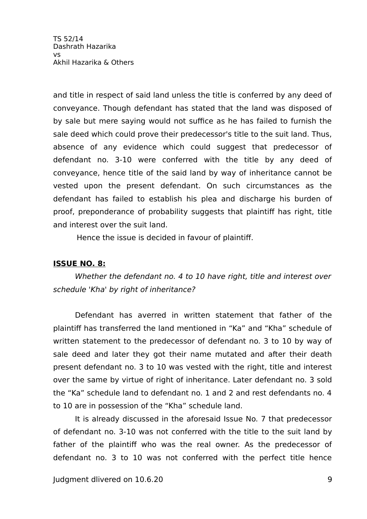and title in respect of said land unless the title is conferred by any deed of conveyance. Though defendant has stated that the land was disposed of by sale but mere saying would not suffice as he has failed to furnish the sale deed which could prove their predecessor's title to the suit land. Thus, absence of any evidence which could suggest that predecessor of defendant no. 3-10 were conferred with the title by any deed of conveyance, hence title of the said land by way of inheritance cannot be vested upon the present defendant. On such circumstances as the defendant has failed to establish his plea and discharge his burden of proof, preponderance of probability suggests that plaintiff has right, title and interest over the suit land.

Hence the issue is decided in favour of plaintif.

## **ISSUE NO. 8:**

Whether the defendant no. 4 to 10 have right, title and interest over schedule 'Kha' by right of inheritance?

Defendant has averred in written statement that father of the plaintif has transferred the land mentioned in "Ka" and "Kha" schedule of written statement to the predecessor of defendant no. 3 to 10 by way of sale deed and later they got their name mutated and after their death present defendant no. 3 to 10 was vested with the right, title and interest over the same by virtue of right of inheritance. Later defendant no. 3 sold the "Ka" schedule land to defendant no. 1 and 2 and rest defendants no. 4 to 10 are in possession of the "Kha" schedule land.

It is already discussed in the aforesaid Issue No. 7 that predecessor of defendant no. 3-10 was not conferred with the title to the suit land by father of the plaintiff who was the real owner. As the predecessor of defendant no. 3 to 10 was not conferred with the perfect title hence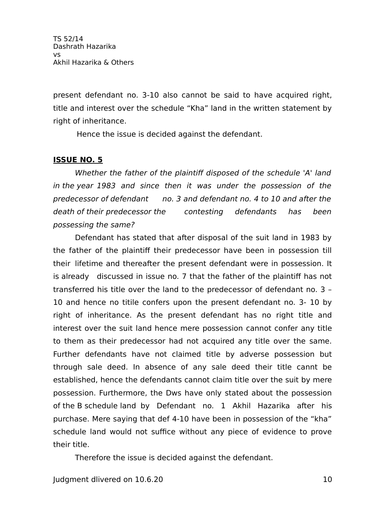present defendant no. 3-10 also cannot be said to have acquired right, title and interest over the schedule "Kha" land in the written statement by right of inheritance.

Hence the issue is decided against the defendant.

## **ISSUE NO. 5**

Whether the father of the plaintiff disposed of the schedule 'A' land in the year 1983 and since then it was under the possession of the predecessor of defendant no. 3 and defendant no. 4 to 10 and after the death of their predecessor the contesting defendants has been possessing the same?

Defendant has stated that after disposal of the suit land in 1983 by the father of the plaintif their predecessor have been in possession till their lifetime and thereafter the present defendant were in possession. It is already discussed in issue no. 7 that the father of the plaintif has not transferred his title over the land to the predecessor of defendant no. 3 – 10 and hence no titile confers upon the present defendant no. 3- 10 by right of inheritance. As the present defendant has no right title and interest over the suit land hence mere possession cannot confer any title to them as their predecessor had not acquired any title over the same. Further defendants have not claimed title by adverse possession but through sale deed. In absence of any sale deed their title cannt be established, hence the defendants cannot claim title over the suit by mere possession. Furthermore, the Dws have only stated about the possession of the B schedule land by Defendant no. 1 Akhil Hazarika after his purchase. Mere saying that def 4-10 have been in possession of the "kha" schedule land would not suffice without any piece of evidence to prove their title.

Therefore the issue is decided against the defendant.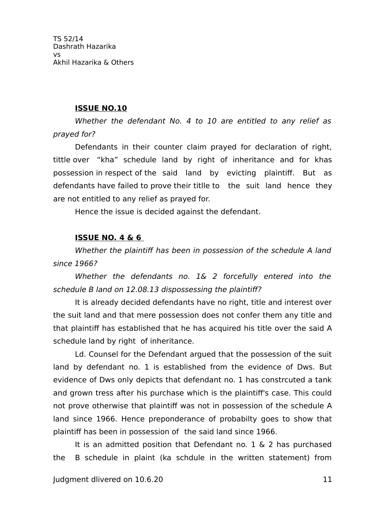#### **ISSUE NO.10**

Whether the defendant No. 4 to 10 are entitled to any relief as prayed for?

Defendants in their counter claim prayed for declaration of right, tittle over "kha" schedule land by right of inheritance and for khas possession in respect of the said land by evicting plaintif. But as defendants have failed to prove their titlle to the suit land hence they are not entitled to any relief as prayed for.

Hence the issue is decided against the defendant.

#### **ISSUE NO. 4 & 6**

Whether the plaintiff has been in possession of the schedule A land since 1966?

Whether the defendants no. 1& 2 forcefully entered into the schedule B land on 12.08.13 dispossessing the plaintiff?

It is already decided defendants have no right, title and interest over the suit land and that mere possession does not confer them any title and that plaintif has established that he has acquired his title over the said A schedule land by right of inheritance.

Ld. Counsel for the Defendant argued that the possession of the suit land by defendant no. 1 is established from the evidence of Dws. But evidence of Dws only depicts that defendant no. 1 has constrcuted a tank and grown tress after his purchase which is the plaintif's case. This could not prove otherwise that plaintif was not in possession of the schedule A land since 1966. Hence preponderance of probabilty goes to show that plaintif has been in possession of the said land since 1966.

It is an admitted position that Defendant no. 1 & 2 has purchased the B schedule in plaint (ka schdule in the written statement) from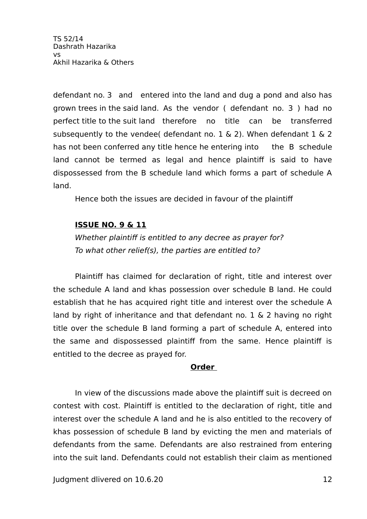defendant no. 3 and entered into the land and dug a pond and also has grown trees in the said land. As the vendor ( defendant no. 3 ) had no perfect title to the suit land therefore no title can be transferred subsequently to the vendee( defendant no. 1 & 2). When defendant 1 & 2 has not been conferred any title hence he entering into the B schedule land cannot be termed as legal and hence plaintiff is said to have dispossessed from the B schedule land which forms a part of schedule A land.

Hence both the issues are decided in favour of the plaintif

## **ISSUE NO. 9 & 11**

Whether plaintiff is entitled to any decree as prayer for? To what other relief(s), the parties are entitled to?

Plaintiff has claimed for declaration of right, title and interest over the schedule A land and khas possession over schedule B land. He could establish that he has acquired right title and interest over the schedule A land by right of inheritance and that defendant no. 1 & 2 having no right title over the schedule B land forming a part of schedule A, entered into the same and dispossessed plaintif from the same. Hence plaintif is entitled to the decree as prayed for.

### **Order**

In view of the discussions made above the plaintiff suit is decreed on contest with cost. Plaintif is entitled to the declaration of right, title and interest over the schedule A land and he is also entitled to the recovery of khas possession of schedule B land by evicting the men and materials of defendants from the same. Defendants are also restrained from entering into the suit land. Defendants could not establish their claim as mentioned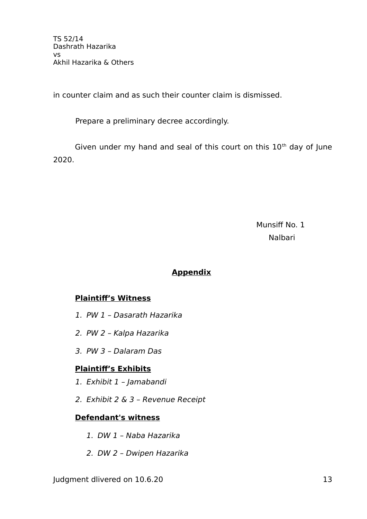in counter claim and as such their counter claim is dismissed.

Prepare a preliminary decree accordingly.

Given under my hand and seal of this court on this  $10<sup>th</sup>$  day of June 2020.

Munsiff No. 1 Nalbari

## **Appendix**

# **Plaintif's Witness**

- 1. PW 1 Dasarath Hazarika
- 2. PW 2 Kalpa Hazarika
- 3. PW 3 Dalaram Das

# **Plaintif's Exhibits**

- 1. Exhibit 1 Jamabandi
- 2. Exhibit 2 & 3 Revenue Receipt

# **Defendant's witness**

- 1. DW 1 Naba Hazarika
- 2. DW 2 Dwipen Hazarika